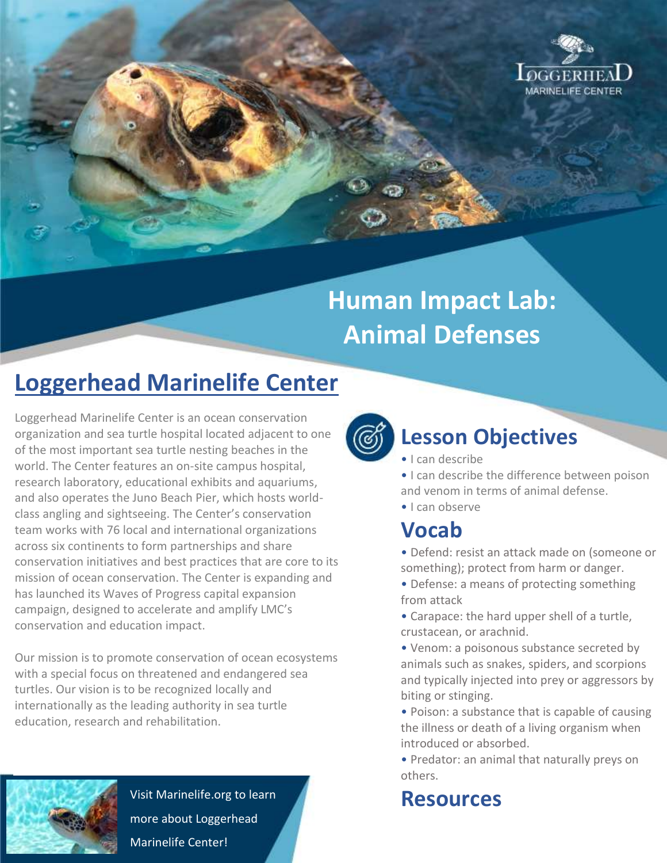

# **Human Impact Lab: Animal Defenses**

## **Loggerhead Marinelife Center**

Loggerhead Marinelife Center is an ocean conservation organization and sea turtle hospital located adjacent to one of the most important sea turtle nesting beaches in the world. The Center features an on-site campus hospital, research laboratory, educational exhibits and aquariums, and also operates the Juno Beach Pier, which hosts worldclass angling and sightseeing. The Center's conservation team works with 76 local and international organizations across six continents to form partnerships and share conservation initiatives and best practices that are core to its mission of ocean conservation. The Center is expanding and has launched its Waves of Progress capital expansion campaign, designed to accelerate and amplify LMC's conservation and education impact.

Our mission is to promote conservation of ocean ecosystems with a special focus on threatened and endangered sea turtles. Our vision is to be recognized locally and internationally as the leading authority in sea turtle education, research and rehabilitation.



Visit Marinelife.org to learn more about Loggerhead Marinelife Center!



### **Lesson Objectives**

• I can describe

• I can describe the difference between poison and venom in terms of animal defense.

• I can observe

#### **Vocab**

• Defend: resist an attack made on (someone or something); protect from harm or danger.

• Defense: a means of protecting something from attack

• Carapace: the hard upper shell of a turtle, crustacean, or arachnid.

• Venom: a poisonous substance secreted by animals such as snakes, spiders, and scorpions and typically injected into prey or aggressors by biting or stinging.

• Poison: a substance that is capable of causing the illness or death of a living organism when introduced or absorbed.

• Predator: an animal that naturally preys on others.

### **Resources**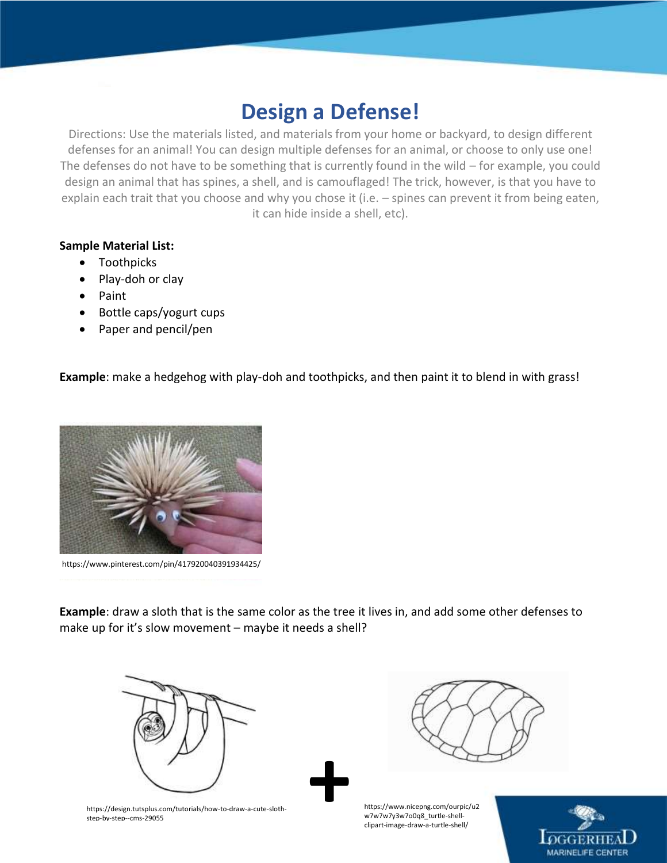#### **Design a Defense!**

Directions: Use the materials listed, and materials from your home or backyard, to design different defenses for an animal! You can design multiple defenses for an animal, or choose to only use one! The defenses do not have to be something that is currently found in the wild – for example, you could design an animal that has spines, a shell, and is camouflaged! The trick, however, is that you have to explain each trait that you choose and why you chose it (i.e. – spines can prevent it from being eaten, it can hide inside a shell, etc).

#### **Sample Material List:**

- Toothpicks
- Play-doh or clay
- Paint
- Bottle caps/yogurt cups
- Paper and pencil/pen

**Example**: make a hedgehog with play-doh and toothpicks, and then paint it to blend in with grass!



https://www.pinterest.com/pin/417920040391934425/

**Example**: draw a sloth that is the same color as the tree it lives in, and add some other defenses to make up for it's slow movement – maybe it needs a shell?